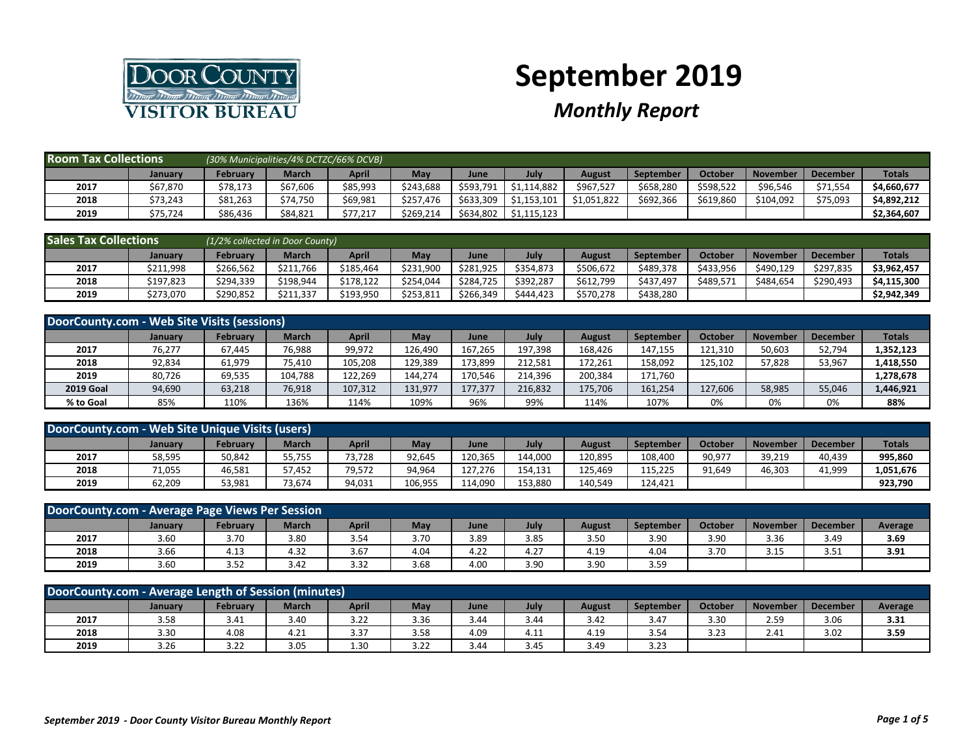

## **September 2019**

## *Monthly Report*

| <b>Room Tax Collections</b> |                | (30% Municipalities/4% DCTZC/66% DCVB) |              |          |           |           |             |             |                  |           |                 |                 |               |
|-----------------------------|----------------|----------------------------------------|--------------|----------|-----------|-----------|-------------|-------------|------------------|-----------|-----------------|-----------------|---------------|
|                             | <b>January</b> | <b>February</b>                        | <b>March</b> | April    | May       | June      | July        | August      | <b>September</b> | October   | <b>November</b> | <b>December</b> | <b>Totals</b> |
| 2017                        | \$67,870       | \$78,173                               | \$67,606     | \$85,993 | \$243,688 | \$593,791 | 1.114.882   | \$967,527   | \$658,280        | \$598,522 | \$96,546        | \$71,554        | \$4,660,677   |
| 2018                        | \$73,243       | \$81,263                               | \$74,750     | \$69,981 | \$257,476 | \$633,309 | \$1,153,101 | \$1,051,822 | \$692,366        | \$619,860 | \$104,092       | \$75,093        | \$4,892,212   |
| 2019                        | \$75,724       | \$86,436                               | \$84,821     | \$77,217 | \$269,214 | \$634,802 | \$1,115,123 |             |                  |           |                 |                 | \$2,364,607   |

| <b>Sales Tax Collections</b> |           | (1/2% collected in Door County) |              |           |           |           |           |           |           |                |                 |                 |               |
|------------------------------|-----------|---------------------------------|--------------|-----------|-----------|-----------|-----------|-----------|-----------|----------------|-----------------|-----------------|---------------|
|                              | January   | Februarv                        | <b>March</b> | April     | May       | June      | July      | August    | September | <b>October</b> | <b>November</b> | <b>December</b> | <b>Totals</b> |
| 2017                         | \$211,998 | \$266.562                       | \$211.766    | \$185.464 | \$231,900 | \$281.925 | \$354,873 | \$506,672 | \$489.378 | \$433,956      | \$490.129       | \$297,835       | \$3,962,457   |
| 2018                         | \$197.823 | \$294,339                       | \$198.944    | \$178.122 | \$254.044 | \$284.725 | \$392.287 | \$612.799 | \$437,497 | \$489,571      | \$484.654       | \$290,493       | \$4,115,300   |
| 2019                         | \$273,070 | \$290,852                       | \$211,337    | \$193,950 | \$253,811 | \$266,349 | \$444,423 | \$570,278 | \$438,280 |                |                 |                 | \$2,942,349   |

| DoorCounty.com - Web Site Visits (sessions) |                |                 |              |              |            |         |         |         |           |                |                 |                 |               |
|---------------------------------------------|----------------|-----------------|--------------|--------------|------------|---------|---------|---------|-----------|----------------|-----------------|-----------------|---------------|
|                                             | <b>January</b> | <b>February</b> | <b>March</b> | <b>April</b> | <b>May</b> | June    | July    | August  | September | <b>October</b> | <b>November</b> | <b>December</b> | <b>Totals</b> |
| 2017                                        | 76,277         | 67,445          | 76,988       | 99,972       | 126,490    | 167,265 | 197,398 | 168,426 | 147,155   | 121,310        | 50,603          | 52,794          | 1,352,123     |
| 2018                                        | 92,834         | 61,979          | 75,410       | 105,208      | 129,389    | 173,899 | 212,581 | 172,261 | 158,092   | 125,102        | 57,828          | 53,967          | 1,418,550     |
| 2019                                        | 80,726         | 69,535          | 104,788      | 122.269      | 144.274    | 170.546 | 214,396 | 200.384 | 171.760   |                |                 |                 | 1,278,678     |
| <b>2019 Goal</b>                            | 94,690         | 63,218          | 76,918       | 107,312      | 131,977    | 177.377 | 216,832 | 175,706 | 161,254   | 127,606        | 58,985          | 55,046          | 1,446,921     |
| % to Goal                                   | 85%            | 110%            | 136%         | 114%         | 109%       | 96%     | 99%     | 114%    | 107%      | 0%             | 0%              | 0%              | 88%           |

| DoorCounty.com - Web Site Unique Visits (users)                                                                                                                                   |        |        |        |        |         |         |         |         |         |        |        |        |           |  |
|-----------------------------------------------------------------------------------------------------------------------------------------------------------------------------------|--------|--------|--------|--------|---------|---------|---------|---------|---------|--------|--------|--------|-----------|--|
| <b>Totals</b><br>April<br>May<br>July<br><b>February</b><br><b>March</b><br><b>Octobel</b><br><b>November</b><br><b>December</b><br>September<br>August<br>June<br><b>January</b> |        |        |        |        |         |         |         |         |         |        |        |        |           |  |
| 2017                                                                                                                                                                              | 58,595 | 50,842 | 55,755 | '3,728 | 92,645  | 120,365 | 144.000 | 120.895 | 108.400 | 90,977 | 39,219 | 40,439 | 995,860   |  |
| 2018                                                                                                                                                                              | 71,055 | 46,581 | 57,452 | 79,572 | 94,964  | 127.276 | 154.131 | 125.469 | 115.225 | 91,649 | 46,303 | 41,999 | 1,051,676 |  |
| 2019                                                                                                                                                                              | 62,209 | 53,981 | 73,674 | 94,031 | 106,955 | 114.090 | 153,880 | 140.549 | 124.421 |        |        |        | 923,790   |  |

|                                                                                                                                                                      | DoorCounty.com - Average Page Views Per Session |      |      |      |      |      |      |      |      |      |      |      |      |
|----------------------------------------------------------------------------------------------------------------------------------------------------------------------|-------------------------------------------------|------|------|------|------|------|------|------|------|------|------|------|------|
| <b>March</b><br>April<br>July<br><b>October</b><br>Februarv<br>May<br><b>November</b><br><b>December</b><br><b>September</b><br>August<br>Average<br>January<br>June |                                                 |      |      |      |      |      |      |      |      |      |      |      |      |
| 2017                                                                                                                                                                 | 3.60                                            | 3.70 | 3.80 | 3.54 | 3.70 | 3.89 | 3.85 | 3.50 | 3.90 | 3.90 | 3.36 | 3.49 | 3.69 |
| 2018                                                                                                                                                                 | 3.66                                            | 4.13 | 4.32 | 3.67 | 4.04 | 4.22 | 4.27 | 4.19 | 4.04 | 3.70 | 3.15 | 3.51 | 3.91 |
| 2019                                                                                                                                                                 | 3.60                                            | 3.52 | 3.42 | 3.32 | 3.68 | 4.00 | 3.90 | 3.90 | 3.59 |      |      |      |      |

| DoorCounty.com - Average Length of Session (minutes)                                                                                                          |      |      |      |      |      |      |      |      |      |                 |      |      |      |  |
|---------------------------------------------------------------------------------------------------------------------------------------------------------------|------|------|------|------|------|------|------|------|------|-----------------|------|------|------|--|
| <b>March</b><br>April<br>Februarv<br>May<br>July<br>October<br><b>November</b><br><b>December</b><br>Average<br>August<br>September<br>June<br><b>January</b> |      |      |      |      |      |      |      |      |      |                 |      |      |      |  |
| 2017                                                                                                                                                          | 3.58 | 3.41 | 3.40 | 3.22 | 3.36 | 3.44 | 3.44 | 3.42 | 3.47 | 3.30            | 2.59 | 3.06 | 3.31 |  |
| 2018                                                                                                                                                          | 3.30 | 4.08 | 4.21 | 3.37 | 3.58 | 4.09 | 4.11 | 4.19 | 3.54 | 3 23<br>۔ ے . د | 2.41 | 3.02 | 3.59 |  |
| 2019                                                                                                                                                          | 3.26 | 3.22 | 3.05 | 1.30 | 3.22 | 3.44 | 3.45 | 3.49 | 3.23 |                 |      |      |      |  |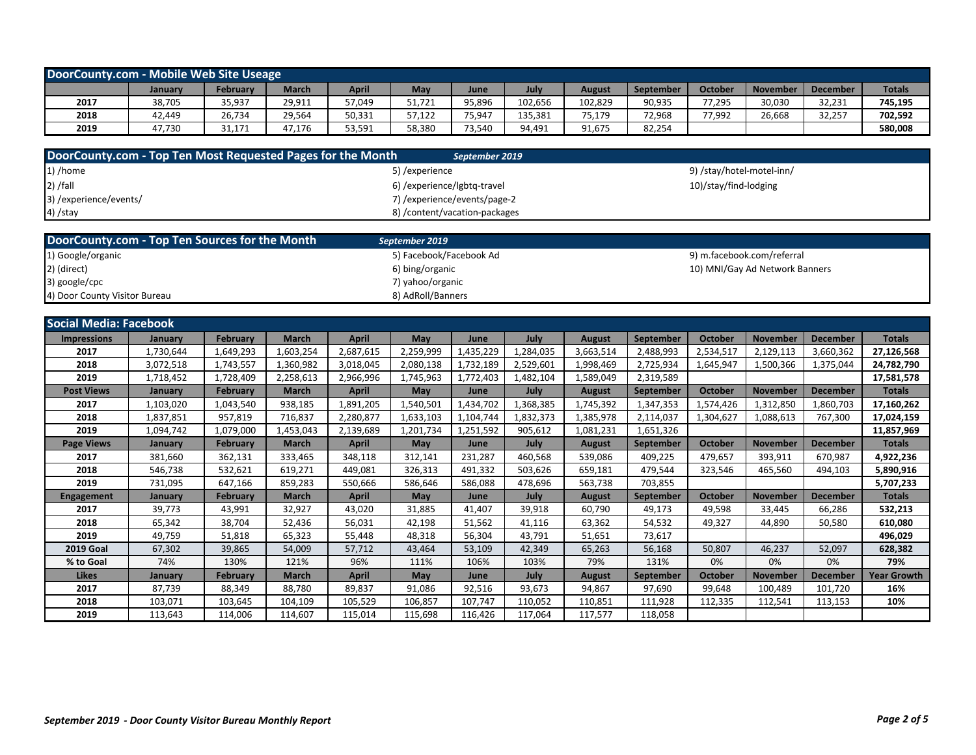| DoorCounty.com - Mobile Web Site Useage                                                                                                                             |        |        |        |        |        |        |         |         |        |        |        |        |         |
|---------------------------------------------------------------------------------------------------------------------------------------------------------------------|--------|--------|--------|--------|--------|--------|---------|---------|--------|--------|--------|--------|---------|
| <b>Totals</b><br><b>October</b><br>March<br>April<br>Februarv<br><b>May</b><br><b>November</b><br>July<br>December<br><b>August</b><br>September<br>June<br>January |        |        |        |        |        |        |         |         |        |        |        |        |         |
| 2017                                                                                                                                                                | 38,705 | 35,937 | 29,911 | 57,049 | 51,721 | 95,896 | 102,656 | 102,829 | 90,935 | 77,295 | 30,030 | 32,231 | 745,195 |
| 2018                                                                                                                                                                | 42,449 | 26,734 | 29,564 | 50,331 | 57,122 | 75,947 | 135,381 | 75,179  | 72,968 | 77,992 | 26,668 | 32,257 | 702,592 |
| 2019                                                                                                                                                                | 47,730 | 31,171 | 47.176 | 53,591 | 58,380 | 73,540 | 94,491  | 91,675  | 82,254 |        |        |        | 580,008 |

| DoorCounty.com - Top Ten Most Requested Pages for the Month | September 2019                 |                           |
|-------------------------------------------------------------|--------------------------------|---------------------------|
| $1)$ /home                                                  | 5) /experience                 | 9) /stay/hotel-motel-inn/ |
| $\vert$ 2) /fall                                            | 6) / experience/lgbtq-travel   | 10)/stay/find-lodging     |
| 3) /experience/events/                                      | 7) / experience/events/page-2  |                           |
| $4)$ /stay                                                  | 8) / content/vacation-packages |                           |

| DoorCounty.com - Top Ten Sources for the Month | September 2019          |                                |
|------------------------------------------------|-------------------------|--------------------------------|
| 1) Google/organic                              | 5) Facebook/Facebook Ad | 9) m.facebook.com/referral     |
| 2) (direct)                                    | 6) bing/organic         | 10) MNI/Gay Ad Network Banners |
| 3) google/cpc                                  | 7) yahoo/organic        |                                |
| 4) Door County Visitor Bureau                  | 8) AdRoll/Banners       |                                |

| <b>Social Media: Facebook</b> |           |                 |              |           |            |           |           |               |                  |           |                 |                 |                    |
|-------------------------------|-----------|-----------------|--------------|-----------|------------|-----------|-----------|---------------|------------------|-----------|-----------------|-----------------|--------------------|
| <b>Impressions</b>            | January   | February        | <b>March</b> | April     | May        | June      | July      | <b>August</b> | September        | October   | <b>November</b> | <b>December</b> | <b>Totals</b>      |
| 2017                          | 1,730,644 | ,649,293        | 1,603,254    | 2,687,615 | 2,259,999  | 1,435,229 | 1,284,035 | 3,663,514     | 2,488,993        | 2,534,517 | 2,129,113       | 3,660,362       | 27,126,568         |
| 2018                          | 3,072,518 | 1,743,557       | 1,360,982    | 3,018,045 | 2,080,138  | 1,732,189 | 2,529,601 | 1,998,469     | 2,725,934        | 1,645,947 | 1,500,366       | 1,375,044       | 24,782,790         |
| 2019                          | 1,718,452 | 1,728,409       | 2,258,613    | 2,966,996 | 1,745,963  | 1,772,403 | 1,482,104 | 1,589,049     | 2,319,589        |           |                 |                 | 17,581,578         |
| <b>Post Views</b>             | January   | <b>February</b> | <b>March</b> | April     | May        | June      | July      | <b>August</b> | <b>September</b> | October   | <b>November</b> | <b>December</b> | <b>Totals</b>      |
| 2017                          | 1,103,020 | 1,043,540       | 938,185      | 1,891,205 | 1,540,501  | 1,434,702 | 1,368,385 | 1,745,392     | 1,347,353        | 1,574,426 | 1,312,850       | 1,860,703       | 17,160,262         |
| 2018                          | 1,837,851 | 957,819         | 716,837      | 2,280,877 | 1,633,103  | 1,104,744 | 1,832,373 | 1,385,978     | 2,114,037        | 1,304,627 | 1,088,613       | 767,300         | 17,024,159         |
| 2019                          | 1,094,742 | 1,079,000       | 1,453,043    | 2,139,689 | 1,201,734  | 1,251,592 | 905,612   | 1,081,231     | 1,651,326        |           |                 |                 | 11,857,969         |
| <b>Page Views</b>             | January   | <b>February</b> | <b>March</b> | April     | <b>May</b> | June      | July      | <b>August</b> | September        | October   | <b>November</b> | <b>December</b> | <b>Totals</b>      |
| 2017                          | 381,660   | 362,131         | 333,465      | 348,118   | 312,141    | 231,287   | 460,568   | 539.086       | 409,225          | 479,657   | 393,911         | 670,987         | 4,922,236          |
| 2018                          | 546,738   | 532,621         | 619,271      | 449,081   | 326,313    | 491,332   | 503,626   | 659,181       | 479,544          | 323,546   | 465,560         | 494,103         | 5,890,916          |
| 2019                          | 731,095   | 647,166         | 859,283      | 550,666   | 586,646    | 586,088   | 478,696   | 563,738       | 703,855          |           |                 |                 | 5,707,233          |
| <b>Engagement</b>             | January   | <b>February</b> | <b>March</b> | April     | May        | June      | July      | <b>August</b> | <b>September</b> | October   | <b>November</b> | <b>December</b> | <b>Totals</b>      |
| 2017                          | 39,773    | 43,991          | 32,927       | 43,020    | 31,885     | 41,407    | 39,918    | 60,790        | 49,173           | 49,598    | 33,445          | 66,286          | 532,213            |
| 2018                          | 65,342    | 38,704          | 52,436       | 56,031    | 42,198     | 51,562    | 41,116    | 63,362        | 54,532           | 49,327    | 44,890          | 50,580          | 610,080            |
| 2019                          | 49,759    | 51,818          | 65,323       | 55,448    | 48,318     | 56,304    | 43,791    | 51.651        | 73,617           |           |                 |                 | 496,029            |
| <b>2019 Goal</b>              | 67,302    | 39,865          | 54,009       | 57,712    | 43,464     | 53,109    | 42,349    | 65,263        | 56,168           | 50,807    | 46,237          | 52,097          | 628,382            |
| % to Goal                     | 74%       | 130%            | 121%         | 96%       | 111%       | 106%      | 103%      | 79%           | 131%             | 0%        | 0%              | 0%              | 79%                |
| <b>Likes</b>                  | January   | February        | <b>March</b> | April     | <b>May</b> | June      | July      | <b>August</b> | <b>September</b> | October   | <b>November</b> | <b>December</b> | <b>Year Growth</b> |
| 2017                          | 87,739    | 88,349          | 88,780       | 89,837    | 91,086     | 92,516    | 93,673    | 94,867        | 97,690           | 99,648    | 100,489         | 101,720         | 16%                |
| 2018                          | 103,071   | 103,645         | 104,109      | 105,529   | 106,857    | 107,747   | 110,052   | 110,851       | 111,928          | 112,335   | 112,541         | 113,153         | 10%                |
| 2019                          | 113,643   | 114,006         | 114,607      | 115,014   | 115,698    | 116,426   | 117,064   | 117,577       | 118,058          |           |                 |                 |                    |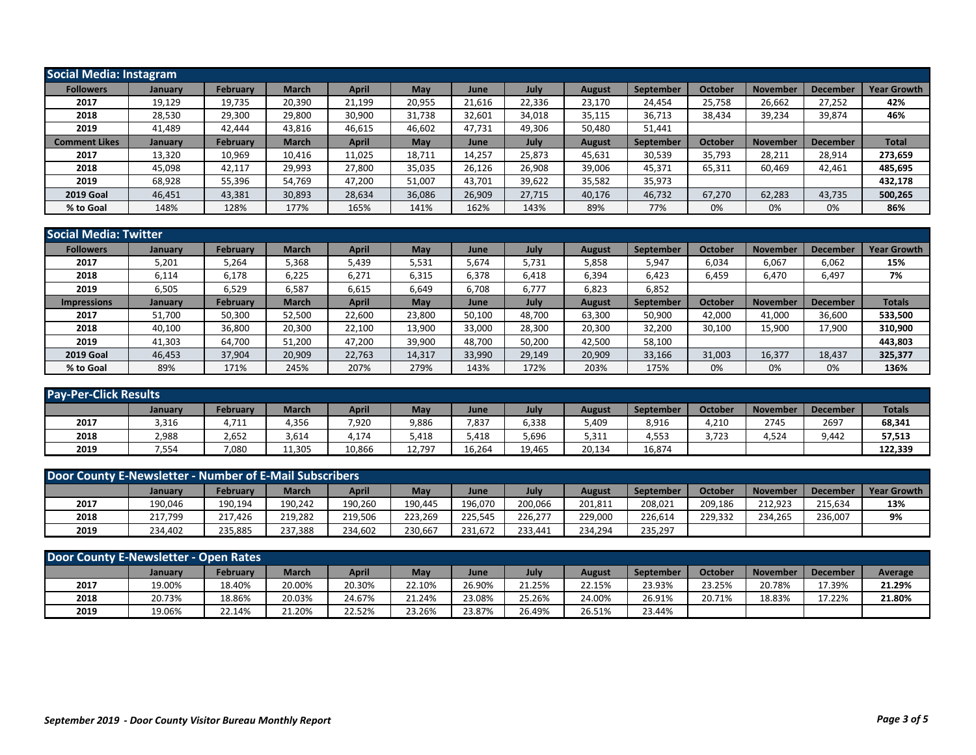| <b>Social Media: Instagram</b> |                |                 |              |              |        |        |        |               |                  |         |                 |                 |                    |
|--------------------------------|----------------|-----------------|--------------|--------------|--------|--------|--------|---------------|------------------|---------|-----------------|-----------------|--------------------|
| <b>Followers</b>               | <b>January</b> | February        | <b>March</b> | <b>April</b> | May    | June   | July   | August        | September        | October | <b>November</b> | <b>December</b> | <b>Year Growth</b> |
| 2017                           | 19,129         | 19,735          | 20,390       | 21,199       | 20,955 | 21,616 | 22,336 | 23,170        | 24,454           | 25,758  | 26,662          | 27,252          | 42%                |
| 2018                           | 28,530         | 29,300          | 29,800       | 30,900       | 31,738 | 32,601 | 34,018 | 35,115        | 36,713           | 38,434  | 39,234          | 39,874          | 46%                |
| 2019                           | 41.489         | 42.444          | 43,816       | 46,615       | 46,602 | 47,731 | 49,306 | 50,480        | 51,441           |         |                 |                 |                    |
| <b>Comment Likes</b>           | January        | <b>February</b> | <b>March</b> | <b>April</b> | May    | June   | July   | <b>August</b> | <b>September</b> | October | <b>November</b> | <b>December</b> | <b>Total</b>       |
| 2017                           | 13,320         | 10,969          | 10,416       | 11,025       | 18.711 | 14,257 | 25,873 | 45,631        | 30,539           | 35,793  | 28,211          | 28,914          | 273,659            |
| 2018                           | 45,098         | 42,117          | 29,993       | 27,800       | 35,035 | 26,126 | 26,908 | 39,006        | 45,371           | 65,311  | 60,469          | 42,461          | 485,695            |
| 2019                           | 68,928         | 55,396          | 54.769       | 47.200       | 51,007 | 43,701 | 39,622 | 35,582        | 35,973           |         |                 |                 | 432,178            |
| <b>2019 Goal</b>               | 46,451         | 43,381          | 30,893       | 28,634       | 36,086 | 26,909 | 27,715 | 40,176        | 46,732           | 67,270  | 62,283          | 43,735          | 500,265            |
| % to Goal                      | 148%           | 128%            | 177%         | 165%         | 141%   | 162%   | 143%   | 89%           | 77%              | 0%      | 0%              | 0%              | 86%                |

| <b>Social Media: Twitter</b> |                |          |              |              |        |        |        |               |           |                |                 |                 |                    |
|------------------------------|----------------|----------|--------------|--------------|--------|--------|--------|---------------|-----------|----------------|-----------------|-----------------|--------------------|
| <b>Followers</b>             | January        | February | <b>March</b> | <b>April</b> | May    | June   | July   | <b>August</b> | September | October        | <b>November</b> | <b>December</b> | <b>Year Growth</b> |
| 2017                         | 5,201          | 5,264    | 5,368        | 5,439        | 5,531  | 5,674  | 5,731  | 5,858         | 5,947     | 6,034          | 6,067           | 6,062           | 15%                |
| 2018                         | 6,114          | 6,178    | 6,225        | 6,271        | 6,315  | 6,378  | 6,418  | 6,394         | 6,423     | 6,459          | 6,470           | 6,497           | 7%                 |
| 2019                         | 6,505          | 6,529    | 6,587        | 6,615        | 6,649  | 6,708  | 6,777  | 6,823         | 6,852     |                |                 |                 |                    |
| <b>Impressions</b>           | <b>January</b> | February | <b>March</b> | <b>April</b> | May    | June   | July   | <b>August</b> | September | <b>October</b> | <b>November</b> | <b>December</b> | <b>Totals</b>      |
| 2017                         | 51,700         | 50,300   | 52,500       | 22,600       | 23,800 | 50,100 | 48,700 | 63,300        | 50,900    | 42,000         | 41,000          | 36,600          | 533,500            |
| 2018                         | 40,100         | 36,800   | 20,300       | 22,100       | 13,900 | 33,000 | 28,300 | 20,300        | 32,200    | 30,100         | 15,900          | 17,900          | 310,900            |
| 2019                         | 41,303         | 64,700   | 51,200       | 47,200       | 39,900 | 48.700 | 50,200 | 42,500        | 58,100    |                |                 |                 | 443.803            |
| <b>2019 Goal</b>             | 46,453         | 37,904   | 20,909       | 22,763       | 14,317 | 33,990 | 29,149 | 20,909        | 33,166    | 31,003         | 16,377          | 18,437          | 325,377            |
| % to Goal                    | 89%            | 171%     | 245%         | 207%         | 279%   | 143%   | 172%   | 203%          | 175%      | 0%             | 0%              | 0%              | 136%               |

| <b>Pay-Per-Click Results</b> |         |          |              |        |        |        |        |        |           |         |                 |                 |               |
|------------------------------|---------|----------|--------------|--------|--------|--------|--------|--------|-----------|---------|-----------------|-----------------|---------------|
|                              | January | February | <b>March</b> | April  | May    | June   | July   | August | September | October | <b>November</b> | <b>December</b> | <b>Totals</b> |
| 2017                         | 3,316   | 4,711    | 4,356        | 7,920  | 9,886  | 7,837  | 6,338  | 5,409  | 8,916     | 4,210   | 2745            | 2697            | 68,341        |
| 2018                         | 2,988   | 2,652    | 3,614        | 4,174  | 5,418  | 5,418  | 5,696  | 5,311  | 4,553     | 3,723   | 4,524           | 9,442           | 57,513        |
| 2019                         | 7,554   | 7,080    | 11,305       | 10,866 | 12,797 | 16,264 | 19,465 | 20,134 | 16,874    |         |                 |                 | 122.339       |

| Door County E-Newsletter - Number of E-Mail Subscribers |                |                 |         |         |         |         |         |         |           |                |                 |          |                    |
|---------------------------------------------------------|----------------|-----------------|---------|---------|---------|---------|---------|---------|-----------|----------------|-----------------|----------|--------------------|
|                                                         | <b>January</b> | <b>February</b> | March   | April   | May     | June    | July    | August  | September | <b>October</b> | <b>November</b> | December | <b>Year Growth</b> |
| 2017                                                    | 190,046        | 190.194         | 190.242 | 190.260 | 190.445 | 196.070 | 200.066 | 201.811 | 208.021   | 209.186        | 212.923         | 215.634  | 13%                |
| 2018                                                    | 217.799        | 217.426         | 219.282 | 219.506 | 223.269 | 225.545 | 226.277 | 229.000 | 226.614   | 229.332        | 234.265         | 236,00   | 9%                 |
| 2019                                                    | 234,402        | 235,885         | 237,388 | 234,602 | 230,667 | 231,672 | 233,441 | 234,294 | 235,297   |                |                 |          |                    |

| Door County E-Newsletter - Open Rates |                |                 |              |        |        |        |        |               |                  |         |                 |                 |         |
|---------------------------------------|----------------|-----------------|--------------|--------|--------|--------|--------|---------------|------------------|---------|-----------------|-----------------|---------|
|                                       | <b>January</b> | <b>February</b> | <b>March</b> | April  | May    | June   | July   | <b>August</b> | <b>September</b> | October | <b>November</b> | <b>December</b> | Average |
| 2017                                  | 19.00%         | 18.40%          | 20.00%       | 20.30% | 22.10% | 26.90% | 21.25% | 22.15%        | 23.93%           | 23.25%  | 20.78%          | 17.39%          | 21.29%  |
| 2018                                  | 20.73%         | 18.86%          | 20.03%       | 24.67% | 21.24% | 23.08% | 25.26% | 24.00%        | 26.91%           | 20.71%  | 18.83%          | 17.22%          | 21.80%  |
| 2019                                  | 19.06%         | 22.14%          | 21.20%       | 22.52% | 23.26% | 23.87% | 26.49% | 26.51%        | 23.44%           |         |                 |                 |         |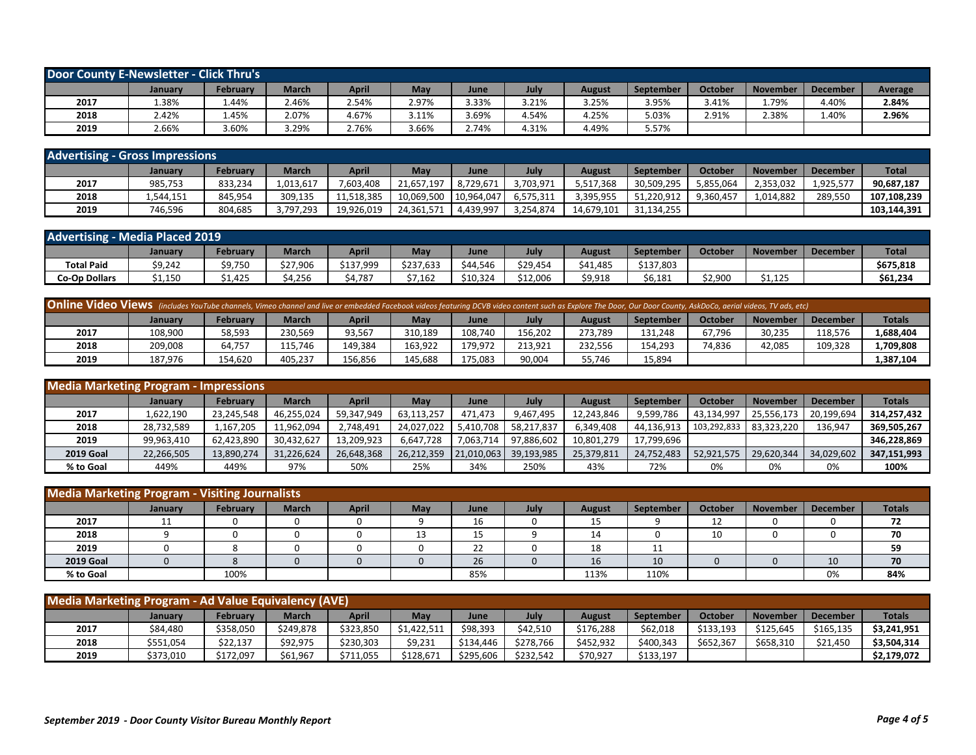| <b>Door County E-Newsletter - Click Thru's</b> |         |              |              |       |       |       |       |        |                  |         |                 |                 |         |
|------------------------------------------------|---------|--------------|--------------|-------|-------|-------|-------|--------|------------------|---------|-----------------|-----------------|---------|
|                                                | January | February     | <b>March</b> | April | May   | June  | July  | August | <b>September</b> | October | <b>November</b> | <b>December</b> | Average |
| 2017                                           | 1.38%   | 1.44%        | 2.46%        | 2.54% | 2.97% | 3.33% | 3.21% | 3.25%  | 3.95%            | 3.41%   | 1.79%           | 1.40%           | 2.84%   |
| 2018                                           | 2.42%   | <b>1.45%</b> | 2.07%        | 4.67% | 3.11% | 3.69% | 4.54% | 4.25%  | 5.03%            | 2.91%   | 2.38%           | 1.40%           | 2.96%   |
| 2019                                           | 2.66%   | 3.60%        | 3.29%        | 2.76% | 3.66% | 2.74% | 4.31% | 4.49%  | 5.57%            |         |                 |                 |         |

| <b>Advertising - Gross Impressions</b> |           |          |           |              |            |            |           |            |                  |           |                 |                 |              |
|----------------------------------------|-----------|----------|-----------|--------------|------------|------------|-----------|------------|------------------|-----------|-----------------|-----------------|--------------|
|                                        | January   | February | March     | <b>April</b> | May        | June       | July      | August     | <b>September</b> | October   | <b>November</b> | <b>December</b> | <b>Total</b> |
| 2017                                   | 985,753   | 833.234  | 1,013,617 | 7,603,408    | 21,657,197 | 8,729,671  | 3,703,971 | 5,517,368  | 30,509,295       | 5,855,064 | 2,353,032       | 1.925.577       | 90.687.187   |
| 2018                                   | 1,544,151 | 845,954  | 309,135   | 11.518.385   | 10,069,500 | 10.964.047 | 6,575,311 | 3,395,955  | 51,220,912       | 9,360,457 | 1,014,882       | 289.550         | 107,108,239  |
| 2019                                   | 746,596   | 804,685  | 3,797,293 | 19,926,019   | 24,361,571 | 4,439,997  | 3,254,874 | 14,679,101 | 31,134,255       |           |                 |                 | 103.144.391  |

| <b>Advertising - Media Placed 2019</b> |                |          |              |           |           |          |          |          |           |                |                 |          |              |
|----------------------------------------|----------------|----------|--------------|-----------|-----------|----------|----------|----------|-----------|----------------|-----------------|----------|--------------|
|                                        | <b>January</b> | February | <b>March</b> | April     | May       | June     | July     | August   | September | <b>October</b> | <b>November</b> | December | <b>Total</b> |
| <b>Total Paid</b>                      | \$9,242        | \$9,750  | \$27,906     | \$137.999 | \$237,633 | \$44.546 | \$29,454 | \$41,485 | \$137,803 |                |                 |          | \$675,818    |
| <b>Co-Op Dollars</b>                   | \$1,150        | .425     | \$4,256      | 4.787     | \$7,162   | \$10,324 | \$12,006 | \$9,918  | \$6,181   | \$2,900        | \$1,125         |          | \$61,234     |

| Online Video Views (includes YouTube channels, Vimeo channel and live or embedded Facebook videos featuring DCVB video content such as Explore The Door, Our Door County, AskDoCo, aerial videos, TV ads, etc) |         |          |         |         |         |         |         |         |                  |         |                 |                 |               |
|----------------------------------------------------------------------------------------------------------------------------------------------------------------------------------------------------------------|---------|----------|---------|---------|---------|---------|---------|---------|------------------|---------|-----------------|-----------------|---------------|
|                                                                                                                                                                                                                | January | Februarv | March   | April   | May     | June    | Julv    | August  | <b>September</b> | October | <b>November</b> | <b>December</b> | <b>Totals</b> |
| 2017                                                                                                                                                                                                           | 108.900 | 58.593   | 230.569 | 93,567  | 310,189 | 108.740 | 156.202 | 273.789 | 131,248          | 67.796  | 30.235          | 118.576         | .,688,404     |
| 2018                                                                                                                                                                                                           | 209.008 | 64,757   | 115.746 | 149.384 | 163.922 | 179,972 | 213.921 | 232,556 | 154.293          | 74,836  | 42,085          | 109.328         | L,709,808     |
| 2019                                                                                                                                                                                                           | 187.976 | 154,620  | 405,237 | 156,856 | 145,688 | 175,083 | 90,004  | 55,746  | L5,894           |         |                 |                 | 1,387,104     |

| <b>Media Marketing Program - Impressions</b> |                |            |            |              |            |            |            |               |            |             |                 |                 |               |
|----------------------------------------------|----------------|------------|------------|--------------|------------|------------|------------|---------------|------------|-------------|-----------------|-----------------|---------------|
|                                              | <b>January</b> | February   | March      | <b>April</b> | May        | June       | July       | <b>August</b> | September  | October     | <b>November</b> | <b>December</b> | <b>Totals</b> |
| 2017                                         | 1,622,190      | 23,245,548 | 46,255,024 | 59,347,949   | 63,113,257 | 471.473    | 9,467,495  | 12,243,846    | 9.599.786  | 43,134,997  | 25,556,173      | 20,199,694      | 314,257,432   |
| 2018                                         | 28,732,589     | 167.205    | 11,962,094 | 2,748,491    | 24,027,022 | 5.410.708  | 58,217,837 | 6,349,408     | 44,136,913 | 103,292,833 | 83,323,220      | 136,947         | 369,505,267   |
| 2019                                         | 99.963.410     | 62.423.890 | 30.432.627 | 13,209,923   | 6.647.728  | 7.063.714  | 97,886,602 | 10,801,279    | 17,799,696 |             |                 |                 | 346.228.869   |
| <b>2019 Goal</b>                             | 22,266,505     | 13,890,274 | 31,226,624 | 26,648,368   | 26,212,359 | 21,010,063 | 39,193,985 | 25,379,811    | 24.752.483 | 52,921,575  | 29.620.344      | 34,029,602      | 347,151,993   |
| % to Goal                                    | 449%           | 449%       | 97%        | 50%          | 25%        | 34%        | 250%       | 43%           | 72%        | 0%          | 0%              | 0%              | 100%          |

| <b>Media Marketing Program - Visiting Journalists</b> |         |          |              |              |     |          |      |               |           |                |                 |                 |               |
|-------------------------------------------------------|---------|----------|--------------|--------------|-----|----------|------|---------------|-----------|----------------|-----------------|-----------------|---------------|
|                                                       | January | February | <b>March</b> | <b>April</b> | May | June     | July | <b>August</b> | September | <b>October</b> | <b>November</b> | <b>December</b> | <b>Totals</b> |
| 2017                                                  | 11      |          | 0            | U            |     | 16       |      | 15            |           | 12<br>ᅩᄼ       |                 | 0               | 72            |
| 2018                                                  |         |          |              |              | 13  | . .<br>ᅩ |      | 14            |           | 10             |                 |                 | 70            |
| 2019                                                  |         |          |              |              |     | າາ<br>ᅩ  |      | 18            | ᆠᆂ        |                |                 |                 | 59            |
| <b>2019 Goal</b>                                      |         |          |              |              |     | 26       |      | 16            | 10        |                |                 | 10              | 70            |
| % to Goal                                             |         | 100%     |              |              |     | 85%      |      | 113%          | 110%      |                |                 | 0%              | 84%           |

| <b>Media Marketing Program - Ad Value Equivalency (AVE)</b> |                |           |              |           |             |           |           |           |           |                |                 |                 |               |
|-------------------------------------------------------------|----------------|-----------|--------------|-----------|-------------|-----------|-----------|-----------|-----------|----------------|-----------------|-----------------|---------------|
|                                                             | <b>January</b> | February  | <b>March</b> | April     | May         | June      | July      | August    | September | <b>October</b> | <b>November</b> | <b>December</b> | <b>Totals</b> |
| 2017                                                        | \$84,480       | \$358.050 | \$249.878    | \$323,850 | \$1,422,511 | \$98,393  | \$42.510  | \$176.288 | \$62,018  | \$133,193      | \$125.645       | \$165.135       | \$3,241,951   |
| 2018                                                        | \$551,054      | \$22,137  | \$92,975     | \$230,303 | \$9,231     | \$134,446 | \$278.766 | \$452,932 | \$400,343 | \$652,367      | \$658,310       | \$21,450        | \$3,504,314   |
| 2019                                                        | \$373,010      | \$172,097 | \$61,967     | \$711,055 | \$128,671   | \$295,606 | \$232,542 | \$70,927  | \$133,197 |                |                 |                 | \$2,179,072   |